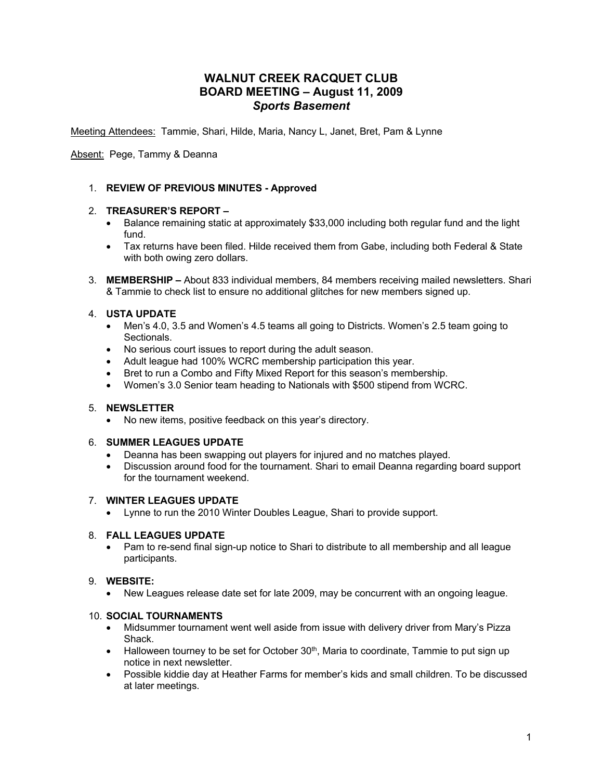# **WALNUT CREEK RACQUET CLUB BOARD MEETING – August 11, 2009** *Sports Basement*

Meeting Attendees: Tammie, Shari, Hilde, Maria, Nancy L, Janet, Bret, Pam & Lynne

Absent: Pege, Tammy & Deanna

# 1. **REVIEW OF PREVIOUS MINUTES - Approved**

# 2. **TREASURER'S REPORT –**

- Balance remaining static at approximately \$33,000 including both regular fund and the light fund.
- Tax returns have been filed. Hilde received them from Gabe, including both Federal & State with both owing zero dollars.
- 3. **MEMBERSHIP –** About 833 individual members, 84 members receiving mailed newsletters. Shari & Tammie to check list to ensure no additional glitches for new members signed up.

# 4. **USTA UPDATE**

- Men's 4.0, 3.5 and Women's 4.5 teams all going to Districts. Women's 2.5 team going to Sectionals.
- No serious court issues to report during the adult season.
- Adult league had 100% WCRC membership participation this year.
- Bret to run a Combo and Fifty Mixed Report for this season's membership.
- Women's 3.0 Senior team heading to Nationals with \$500 stipend from WCRC.

# 5. **NEWSLETTER**

• No new items, positive feedback on this year's directory.

# 6. **SUMMER LEAGUES UPDATE**

- Deanna has been swapping out players for injured and no matches played.
- Discussion around food for the tournament. Shari to email Deanna regarding board support for the tournament weekend.

# 7. **WINTER LEAGUES UPDATE**

• Lynne to run the 2010 Winter Doubles League, Shari to provide support.

#### 8. **FALL LEAGUES UPDATE**

• Pam to re-send final sign-up notice to Shari to distribute to all membership and all league participants.

#### 9. **WEBSITE:**

• New Leagues release date set for late 2009, may be concurrent with an ongoing league.

#### 10. **SOCIAL TOURNAMENTS**

- Midsummer tournament went well aside from issue with delivery driver from Mary's Pizza Shack.
- Halloween tourney to be set for October 30<sup>th</sup>, Maria to coordinate, Tammie to put sign up notice in next newsletter.
- Possible kiddie day at Heather Farms for member's kids and small children. To be discussed at later meetings.